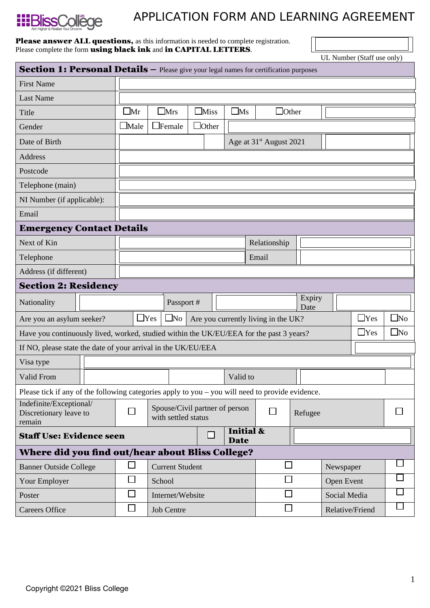

## APPLICATION FORM AND LEARNING AGREEMENT

## **Please answer ALL questions,** as this information is needed to complete registration. Please complete the form **using black ink** and **in CAPITAL LETTERS**.

UL Number (Staff use only)

| <b>Section 1: Personal Details -</b> Please give your legal names for certification purposes     |                                                                                                       |                                                         |                   |                  |                                     |                                     |              |                |                 |              |  |  |  |
|--------------------------------------------------------------------------------------------------|-------------------------------------------------------------------------------------------------------|---------------------------------------------------------|-------------------|------------------|-------------------------------------|-------------------------------------|--------------|----------------|-----------------|--------------|--|--|--|
| <b>First Name</b>                                                                                |                                                                                                       |                                                         |                   |                  |                                     |                                     |              |                |                 |              |  |  |  |
| <b>Last Name</b>                                                                                 |                                                                                                       |                                                         |                   |                  |                                     |                                     |              |                |                 |              |  |  |  |
| <b>Title</b>                                                                                     | $\square_{\rm Mr}$                                                                                    | $\Box$ Ms<br>$\square$ Mrs<br>$\square_{\mathrm{Miss}}$ |                   |                  |                                     | $\Box$ Other                        |              |                |                 |              |  |  |  |
| Gender                                                                                           | $\Box$ Male                                                                                           | $\Box$ Female                                           | $\Box$ Other      |                  |                                     |                                     |              |                |                 |              |  |  |  |
| Date of Birth                                                                                    |                                                                                                       | Age at 31 <sup>st</sup> August 2021                     |                   |                  |                                     |                                     |              |                |                 |              |  |  |  |
| <b>Address</b>                                                                                   |                                                                                                       |                                                         |                   |                  |                                     |                                     |              |                |                 |              |  |  |  |
| Postcode                                                                                         |                                                                                                       |                                                         |                   |                  |                                     |                                     |              |                |                 |              |  |  |  |
| Telephone (main)                                                                                 |                                                                                                       |                                                         |                   |                  |                                     |                                     |              |                |                 |              |  |  |  |
| NI Number (if applicable):                                                                       |                                                                                                       |                                                         |                   |                  |                                     |                                     |              |                |                 |              |  |  |  |
| Email                                                                                            |                                                                                                       |                                                         |                   |                  |                                     |                                     |              |                |                 |              |  |  |  |
| <b>Emergency Contact Details</b>                                                                 |                                                                                                       |                                                         |                   |                  |                                     |                                     |              |                |                 |              |  |  |  |
| Next of Kin                                                                                      |                                                                                                       |                                                         |                   |                  |                                     |                                     | Relationship |                |                 |              |  |  |  |
| Telephone                                                                                        |                                                                                                       |                                                         | Email             |                  |                                     |                                     |              |                |                 |              |  |  |  |
| Address (if different)                                                                           |                                                                                                       |                                                         |                   |                  |                                     |                                     |              |                |                 |              |  |  |  |
| <b>Section 2: Residency</b>                                                                      |                                                                                                       |                                                         |                   |                  |                                     |                                     |              |                |                 |              |  |  |  |
| Nationality                                                                                      |                                                                                                       | Passport #                                              |                   |                  |                                     |                                     |              | Expiry<br>Date |                 |              |  |  |  |
| Are you an asylum seeker?                                                                        |                                                                                                       | $\Box$ Yes<br>$\square$ No                              |                   |                  |                                     | Are you currently living in the UK? |              |                | $\Box$ Yes      | $\square$ No |  |  |  |
|                                                                                                  | $\Box$ Yes<br>Have you continuously lived, worked, studied within the UK/EU/EEA for the past 3 years? |                                                         |                   |                  |                                     |                                     |              |                |                 | $\square$ No |  |  |  |
| If NO, please state the date of your arrival in the UK/EU/EEA                                    |                                                                                                       |                                                         |                   |                  |                                     |                                     |              |                |                 |              |  |  |  |
| Visa type                                                                                        |                                                                                                       |                                                         |                   |                  |                                     |                                     |              |                |                 |              |  |  |  |
| <b>Valid From</b>                                                                                |                                                                                                       |                                                         |                   |                  | Valid to                            |                                     |              |                |                 |              |  |  |  |
| Please tick if any of the following categories apply to you - you will need to provide evidence. |                                                                                                       |                                                         |                   |                  |                                     |                                     |              |                |                 |              |  |  |  |
| Indefinite/Exceptional/<br>Discretionary leave to<br>remain                                      |                                                                                                       | Spouse/Civil partner of person<br>with settled status   |                   |                  | $\Box$                              |                                     |              |                |                 |              |  |  |  |
| <b>Staff Use: Evidence seen</b>                                                                  |                                                                                                       |                                                         |                   | $\Box$           | <b>Initial &amp;</b><br><b>Date</b> |                                     |              |                |                 |              |  |  |  |
| Where did you find out/hear about Bliss College?                                                 |                                                                                                       |                                                         |                   |                  |                                     |                                     |              |                |                 |              |  |  |  |
| <b>Banner Outside College</b>                                                                    | $\Box$                                                                                                | <b>Current Student</b>                                  |                   |                  |                                     | $\Box$                              |              | Newspaper      |                 |              |  |  |  |
| Your Employer                                                                                    |                                                                                                       | $\Box$                                                  | School            |                  |                                     |                                     | $\Box$       |                | Open Event      |              |  |  |  |
| Poster                                                                                           |                                                                                                       | $\Box$                                                  |                   | Internet/Website |                                     |                                     | $\Box$       |                | Social Media    |              |  |  |  |
| <b>Careers Office</b>                                                                            |                                                                                                       | $\Box$                                                  | <b>Job Centre</b> |                  |                                     |                                     | $\Box$       |                | Relative/Friend |              |  |  |  |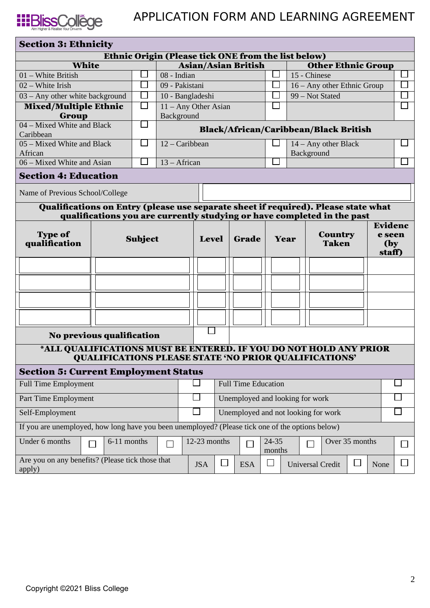

| <b>Section 3: Ethnicity</b>                                                                      |  |  |                            |                |              |                                     |                            |                                 |        |                                |                                             |                                                                         |                                    |                |        |
|--------------------------------------------------------------------------------------------------|--|--|----------------------------|----------------|--------------|-------------------------------------|----------------------------|---------------------------------|--------|--------------------------------|---------------------------------------------|-------------------------------------------------------------------------|------------------------------------|----------------|--------|
| Ethnic Origin (Please tick ONE from the list below)                                              |  |  |                            |                |              |                                     |                            |                                 |        |                                |                                             |                                                                         |                                    |                |        |
| <b>White</b>                                                                                     |  |  | <b>Asian/Asian British</b> |                |              |                                     |                            | <b>Other Ethnic Group</b>       |        |                                |                                             |                                                                         |                                    |                |        |
| 01 - White British                                                                               |  |  |                            | 08 - Indian    |              |                                     |                            |                                 |        | ⊔                              | 15 - Chinese                                |                                                                         |                                    |                |        |
| $02 -$ White Irish                                                                               |  |  | $\blacksquare$             | 09 - Pakistani |              |                                     |                            |                                 |        |                                |                                             | 16 – Any other Ethnic Group                                             |                                    |                |        |
| 03 - Any other white background                                                                  |  |  | $\Box$                     |                |              | 10 - Bangladeshi                    |                            |                                 |        | $\Box$                         | $\overline{\phantom{a}}$<br>99 - Not Stated |                                                                         |                                    |                |        |
| <b>Mixed/Multiple Ethnic</b>                                                                     |  |  | $\Box$                     |                |              | 11 - Any Other Asian                |                            |                                 |        | $\Box$                         |                                             |                                                                         |                                    |                | $\Box$ |
| Group<br>04 - Mixed White and Black                                                              |  |  | $\mathcal{L}$              | Background     |              |                                     |                            |                                 |        |                                |                                             |                                                                         |                                    |                |        |
| Caribbean                                                                                        |  |  |                            |                |              |                                     |                            |                                 |        |                                |                                             | <b>Black/African/Caribbean/Black British</b>                            |                                    |                |        |
| 05 - Mixed White and Black                                                                       |  |  | $\Box$                     | 12 - Caribbean |              |                                     |                            |                                 |        | $14 - Any other Black$         |                                             |                                                                         |                                    |                |        |
| African                                                                                          |  |  |                            |                |              |                                     |                            |                                 |        |                                |                                             | Background                                                              |                                    |                |        |
| 06 - Mixed White and Asian                                                                       |  |  | $\blacksquare$             | 13 - African   |              |                                     |                            |                                 |        |                                |                                             |                                                                         |                                    |                |        |
| <b>Section 4: Education</b>                                                                      |  |  |                            |                |              |                                     |                            |                                 |        |                                |                                             |                                                                         |                                    |                |        |
| Name of Previous School/College                                                                  |  |  |                            |                |              |                                     |                            |                                 |        |                                |                                             |                                                                         |                                    |                |        |
| Qualifications on Entry (please use separate sheet if required). Please state what               |  |  |                            |                |              |                                     |                            |                                 |        |                                |                                             |                                                                         |                                    |                |        |
|                                                                                                  |  |  |                            |                |              |                                     |                            |                                 |        |                                |                                             | qualifications you are currently studying or have completed in the past |                                    |                |        |
| <b>Type of</b><br><b>Subject</b><br>qualification                                                |  |  | <b>Level</b>               |                |              | <b>Grade</b>                        |                            | Year                            |        | <b>Country</b><br><b>Taken</b> |                                             |                                                                         | Evidenc<br>e seen<br>(by<br>staff) |                |        |
|                                                                                                  |  |  |                            |                |              |                                     |                            |                                 |        |                                |                                             |                                                                         |                                    |                |        |
|                                                                                                  |  |  |                            |                |              |                                     |                            |                                 |        |                                |                                             |                                                                         |                                    |                |        |
|                                                                                                  |  |  |                            |                |              |                                     |                            |                                 |        |                                |                                             |                                                                         |                                    |                |        |
|                                                                                                  |  |  |                            |                |              |                                     |                            |                                 |        |                                |                                             |                                                                         |                                    |                |        |
|                                                                                                  |  |  |                            |                |              |                                     |                            |                                 |        |                                |                                             |                                                                         |                                    |                |        |
|                                                                                                  |  |  |                            |                |              |                                     |                            |                                 |        |                                |                                             |                                                                         |                                    |                |        |
|                                                                                                  |  |  |                            |                |              |                                     |                            |                                 |        |                                |                                             |                                                                         |                                    |                |        |
| No previous qualification                                                                        |  |  |                            |                |              |                                     |                            |                                 |        |                                |                                             |                                                                         |                                    |                |        |
| *ALL QUALIFICATIONS MUST BE ENTERED. IF YOU DO NOT HOLD ANY PRIOR                                |  |  |                            |                |              |                                     |                            |                                 |        |                                |                                             | <b>QUALIFICATIONS PLEASE STATE 'NO PRIOR QUALIFICATIONS'</b>            |                                    |                |        |
| <b>Section 5: Current Employment Status</b>                                                      |  |  |                            |                |              |                                     |                            |                                 |        |                                |                                             |                                                                         |                                    |                |        |
| <b>Full Time Employment</b>                                                                      |  |  |                            |                |              |                                     | <b>Full Time Education</b> |                                 |        |                                |                                             |                                                                         |                                    |                |        |
|                                                                                                  |  |  |                            |                |              |                                     |                            | Unemployed and looking for work |        |                                |                                             |                                                                         |                                    |                |        |
| Part Time Employment                                                                             |  |  |                            |                |              |                                     |                            |                                 |        |                                |                                             |                                                                         |                                    |                |        |
| Self-Employment                                                                                  |  |  |                            |                |              | Unemployed and not looking for work |                            |                                 |        |                                |                                             |                                                                         |                                    |                |        |
| If you are unemployed, how long have you been unemployed? (Please tick one of the options below) |  |  |                            |                |              |                                     |                            |                                 |        |                                |                                             |                                                                         |                                    |                |        |
| Under 6 months<br>6-11 months<br>┑<br>П                                                          |  |  |                            |                | 12-23 months |                                     | $\Box$                     | 24-35                           | months |                                | Over 35 months                              |                                                                         |                                    | $\mathbb{R}^n$ |        |
| Are you on any benefits? (Please tick those that<br>apply)                                       |  |  |                            |                |              | <b>JSA</b>                          |                            | <b>ESA</b>                      | ⊔      |                                |                                             | <b>Universal Credit</b>                                                 | ⊔                                  | None           | $\Box$ |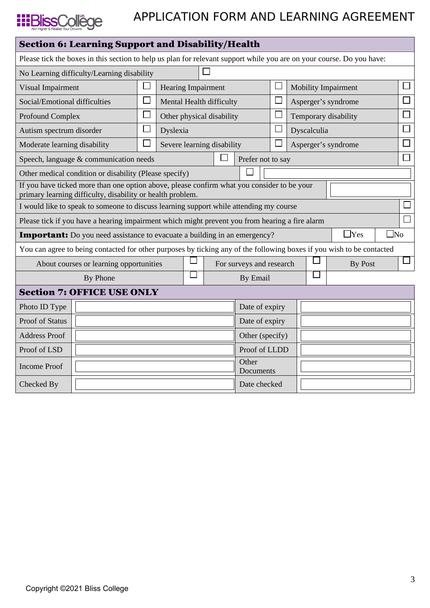

| <b>Section 6: Learning Support and Disability/Health</b>                                                                                                 |                                                                                                                       |                 |                           |  |                            |                          |                                     |             |                            |                     |        |        |  |  |  |
|----------------------------------------------------------------------------------------------------------------------------------------------------------|-----------------------------------------------------------------------------------------------------------------------|-----------------|---------------------------|--|----------------------------|--------------------------|-------------------------------------|-------------|----------------------------|---------------------|--------|--------|--|--|--|
| Please tick the boxes in this section to help us plan for relevant support while you are on your course. Do you have:                                    |                                                                                                                       |                 |                           |  |                            |                          |                                     |             |                            |                     |        |        |  |  |  |
| No Learning difficulty/Learning disability                                                                                                               |                                                                                                                       |                 |                           |  |                            |                          |                                     |             |                            |                     |        |        |  |  |  |
| $\Box$<br>Visual Impairment                                                                                                                              |                                                                                                                       |                 | <b>Hearing Impairment</b> |  |                            | $\Box$                   |                                     |             | <b>Mobility Impairment</b> |                     |        |        |  |  |  |
| Social/Emotional difficulties                                                                                                                            |                                                                                                                       |                 |                           |  | Mental Health difficulty   |                          | $\mathbf{I}$<br>Asperger's syndrome |             |                            |                     |        |        |  |  |  |
| <b>Profound Complex</b>                                                                                                                                  |                                                                                                                       |                 |                           |  | Other physical disability  |                          | $\Box$<br>Temporary disability      |             |                            |                     | $\Box$ |        |  |  |  |
| Autism spectrum disorder                                                                                                                                 |                                                                                                                       |                 | Dyslexia                  |  |                            |                          | $\Box$                              | Dyscalculia |                            |                     |        |        |  |  |  |
| Moderate learning disability                                                                                                                             |                                                                                                                       | $\Box$          |                           |  | Severe learning disability |                          | $\mathcal{L}_{\mathcal{A}}$         |             |                            | Asperger's syndrome | $\Box$ |        |  |  |  |
| Speech, language & communication needs                                                                                                                   |                                                                                                                       |                 |                           |  |                            | Prefer not to say        |                                     |             |                            |                     |        | $\Box$ |  |  |  |
|                                                                                                                                                          | Other medical condition or disability (Please specify)                                                                |                 |                           |  |                            |                          |                                     |             |                            |                     |        |        |  |  |  |
| If you have ticked more than one option above, please confirm what you consider to be your<br>primary learning difficulty, disability or health problem. |                                                                                                                       |                 |                           |  |                            |                          |                                     |             |                            |                     |        |        |  |  |  |
| I would like to speak to someone to discuss learning support while attending my course                                                                   |                                                                                                                       |                 |                           |  |                            |                          |                                     |             |                            |                     |        |        |  |  |  |
| Please tick if you have a hearing impairment which might prevent you from hearing a fire alarm                                                           |                                                                                                                       |                 |                           |  |                            |                          |                                     |             |                            |                     |        |        |  |  |  |
| $\Box$ Yes<br>$\square$ No<br><b>Important:</b> Do you need assistance to evacuate a building in an emergency?                                           |                                                                                                                       |                 |                           |  |                            |                          |                                     |             |                            |                     |        |        |  |  |  |
|                                                                                                                                                          | You can agree to being contacted for other purposes by ticking any of the following boxes if you wish to be contacted |                 |                           |  |                            |                          |                                     |             |                            |                     |        |        |  |  |  |
| About courses or learning opportunities                                                                                                                  |                                                                                                                       |                 |                           |  |                            | For surveys and research |                                     |             | <b>By Post</b>             |                     |        |        |  |  |  |
| $\Box$<br>By Phone                                                                                                                                       |                                                                                                                       |                 |                           |  |                            | $\mathbf{I}$<br>By Email |                                     |             |                            |                     |        |        |  |  |  |
|                                                                                                                                                          | <b>Section 7: OFFICE USE ONLY</b>                                                                                     |                 |                           |  |                            |                          |                                     |             |                            |                     |        |        |  |  |  |
| Photo ID Type                                                                                                                                            |                                                                                                                       |                 | Date of expiry            |  |                            |                          |                                     |             |                            |                     |        |        |  |  |  |
| <b>Proof of Status</b>                                                                                                                                   |                                                                                                                       | Date of expiry  |                           |  |                            |                          |                                     |             |                            |                     |        |        |  |  |  |
| <b>Address Proof</b>                                                                                                                                     |                                                                                                                       | Other (specify) |                           |  |                            |                          |                                     |             |                            |                     |        |        |  |  |  |
| Proof of LSD                                                                                                                                             |                                                                                                                       |                 | Proof of LLDD             |  |                            |                          |                                     |             |                            |                     |        |        |  |  |  |
| <b>Income Proof</b>                                                                                                                                      |                                                                                                                       |                 |                           |  |                            | Other<br>Documents       |                                     |             |                            |                     |        |        |  |  |  |
| Checked By                                                                                                                                               |                                                                                                                       |                 |                           |  |                            |                          | Date checked                        |             |                            |                     |        |        |  |  |  |